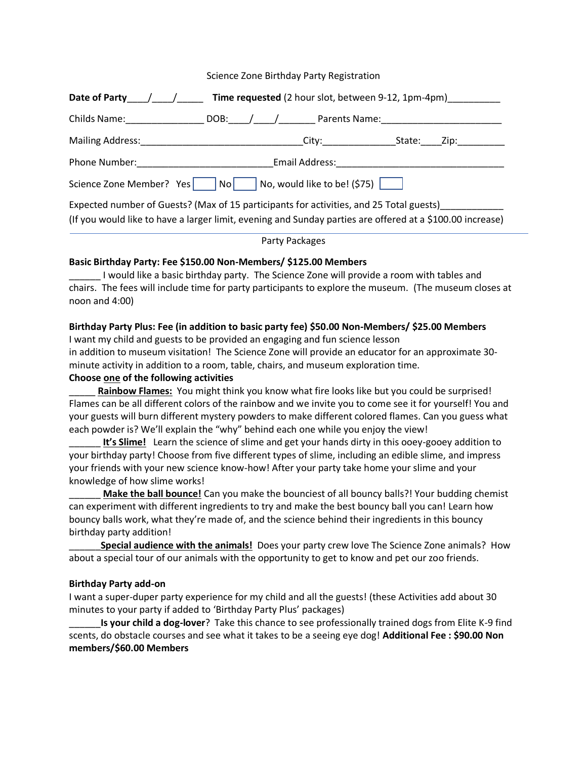### Science Zone Birthday Party Registration

| Date of Party $\left/ \right/$ Time requested (2 hour slot, between 9-12, 1pm-4pm)                                                                                                                                            |                        |                |               |  |  |  |
|-------------------------------------------------------------------------------------------------------------------------------------------------------------------------------------------------------------------------------|------------------------|----------------|---------------|--|--|--|
| Childs Name: The Childs Name:                                                                                                                                                                                                 | DOB: $\angle$ $\angle$ |                | Parents Name: |  |  |  |
| Mailing Address:                                                                                                                                                                                                              |                        |                |               |  |  |  |
| Phone Number: The Contract of the Contract of the Contract of the Contract of the Contract of the Contract of the Contract of the Contract of the Contract of the Contract of the Contract of the Contract of the Contract of |                        | Email Address: |               |  |  |  |
| $\vert$ No, would like to be! (\$75) $\vert$<br>Science Zone Member? Yes<br>$\overline{\phantom{a}}$ No $\overline{\phantom{a}}$                                                                                              |                        |                |               |  |  |  |
| Expected number of Guests? (Max of 15 participants for activities, and 25 Total guests)                                                                                                                                       |                        |                |               |  |  |  |

(If you would like to have a larger limit, evening and Sunday parties are offered at a \$100.00 increase)

# Party Packages

## **Basic Birthday Party: Fee \$150.00 Non-Members/ \$125.00 Members**

\_\_\_\_\_\_ I would like a basic birthday party. The Science Zone will provide a room with tables and chairs. The fees will include time for party participants to explore the museum. (The museum closes at noon and 4:00)

### **Birthday Party Plus: Fee (in addition to basic party fee) \$50.00 Non-Members/ \$25.00 Members**

I want my child and guests to be provided an engaging and fun science lesson in addition to museum visitation! The Science Zone will provide an educator for an approximate 30minute activity in addition to a room, table, chairs, and museum exploration time. **Choose one of the following activities**

\_\_\_\_\_ **Rainbow Flames:** You might think you know what fire looks like but you could be surprised! Flames can be all different colors of the rainbow and we invite you to come see it for yourself! You and your guests will burn different mystery powders to make different colored flames. Can you guess what each powder is? We'll explain the "why" behind each one while you enjoy the view!

It's Slime! Learn the science of slime and get your hands dirty in this ooey-gooey addition to your birthday party! Choose from five different types of slime, including an edible slime, and impress your friends with your new science know-how! After your party take home your slime and your knowledge of how slime works!

**Make the ball bounce!** Can you make the bounciest of all bouncy balls?! Your budding chemist can experiment with different ingredients to try and make the best bouncy ball you can! Learn how bouncy balls work, what they're made of, and the science behind their ingredients in this bouncy birthday party addition!

\_\_\_\_\_\_**Special audience with the animals!** Does your party crew love The Science Zone animals? How about a special tour of our animals with the opportunity to get to know and pet our zoo friends.

### **Birthday Party add-on**

I want a super-duper party experience for my child and all the guests! (these Activities add about 30 minutes to your party if added to 'Birthday Party Plus' packages)

\_\_\_\_\_\_**Is your child a dog-lover**? Take this chance to see professionally trained dogs from Elite K-9 find scents, do obstacle courses and see what it takes to be a seeing eye dog! **Additional Fee : \$90.00 Non members/\$60.00 Members**